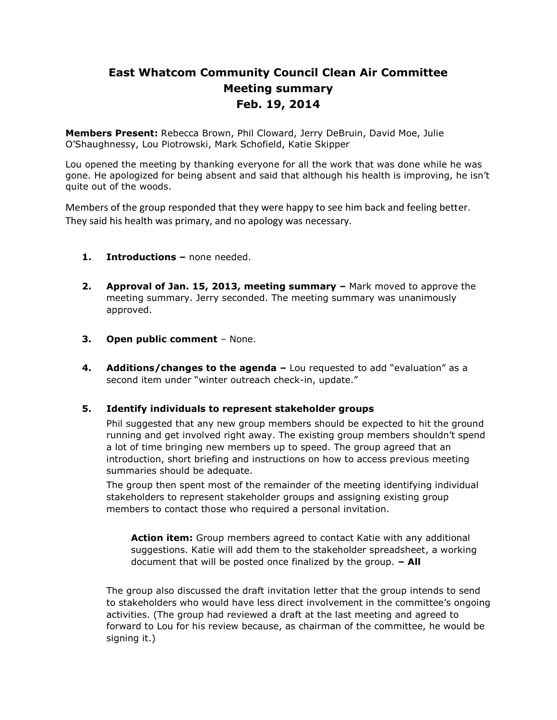# **East Whatcom Community Council Clean Air Committee Meeting summary Feb. 19, 2014**

**Members Present:** Rebecca Brown, Phil Cloward, Jerry DeBruin, David Moe, Julie O'Shaughnessy, Lou Piotrowski, Mark Schofield, Katie Skipper

Lou opened the meeting by thanking everyone for all the work that was done while he was gone. He apologized for being absent and said that although his health is improving, he isn't quite out of the woods.

Members of the group responded that they were happy to see him back and feeling better. They said his health was primary, and no apology was necessary.

- **1. Introductions –** none needed.
- **2. Approval of Jan. 15, 2013, meeting summary –** Mark moved to approve the meeting summary. Jerry seconded. The meeting summary was unanimously approved.
- **3. Open public comment**  None.
- **4. Additions/changes to the agenda –** Lou requested to add "evaluation" as a second item under "winter outreach check-in, update."

## **5. Identify individuals to represent stakeholder groups**

Phil suggested that any new group members should be expected to hit the ground running and get involved right away. The existing group members shouldn't spend a lot of time bringing new members up to speed. The group agreed that an introduction, short briefing and instructions on how to access previous meeting summaries should be adequate.

The group then spent most of the remainder of the meeting identifying individual stakeholders to represent stakeholder groups and assigning existing group members to contact those who required a personal invitation.

**Action item:** Group members agreed to contact Katie with any additional suggestions. Katie will add them to the stakeholder spreadsheet, a working document that will be posted once finalized by the group. **– All**

The group also discussed the draft invitation letter that the group intends to send to stakeholders who would have less direct involvement in the committee's ongoing activities. (The group had reviewed a draft at the last meeting and agreed to forward to Lou for his review because, as chairman of the committee, he would be signing it.)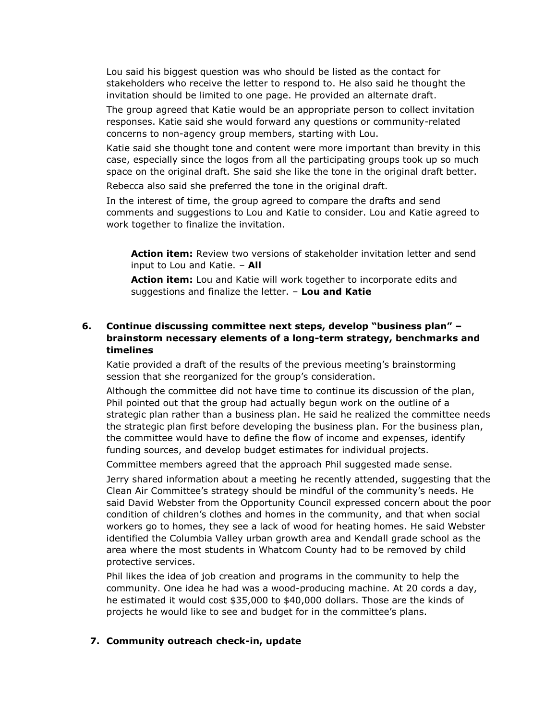Lou said his biggest question was who should be listed as the contact for stakeholders who receive the letter to respond to. He also said he thought the invitation should be limited to one page. He provided an alternate draft.

The group agreed that Katie would be an appropriate person to collect invitation responses. Katie said she would forward any questions or community-related concerns to non-agency group members, starting with Lou.

Katie said she thought tone and content were more important than brevity in this case, especially since the logos from all the participating groups took up so much space on the original draft. She said she like the tone in the original draft better.

Rebecca also said she preferred the tone in the original draft.

In the interest of time, the group agreed to compare the drafts and send comments and suggestions to Lou and Katie to consider. Lou and Katie agreed to work together to finalize the invitation.

**Action item:** Review two versions of stakeholder invitation letter and send input to Lou and Katie. – **All**

**Action item:** Lou and Katie will work together to incorporate edits and suggestions and finalize the letter. – **Lou and Katie**

# **6. Continue discussing committee next steps, develop "business plan" – brainstorm necessary elements of a long-term strategy, benchmarks and timelines**

Katie provided a draft of the results of the previous meeting's brainstorming session that she reorganized for the group's consideration.

Although the committee did not have time to continue its discussion of the plan, Phil pointed out that the group had actually begun work on the outline of a strategic plan rather than a business plan. He said he realized the committee needs the strategic plan first before developing the business plan. For the business plan, the committee would have to define the flow of income and expenses, identify funding sources, and develop budget estimates for individual projects.

Committee members agreed that the approach Phil suggested made sense.

Jerry shared information about a meeting he recently attended, suggesting that the Clean Air Committee's strategy should be mindful of the community's needs. He said David Webster from the Opportunity Council expressed concern about the poor condition of children's clothes and homes in the community, and that when social workers go to homes, they see a lack of wood for heating homes. He said Webster identified the Columbia Valley urban growth area and Kendall grade school as the area where the most students in Whatcom County had to be removed by child protective services.

Phil likes the idea of job creation and programs in the community to help the community. One idea he had was a wood-producing machine. At 20 cords a day, he estimated it would cost \$35,000 to \$40,000 dollars. Those are the kinds of projects he would like to see and budget for in the committee's plans.

## **7. Community outreach check-in, update**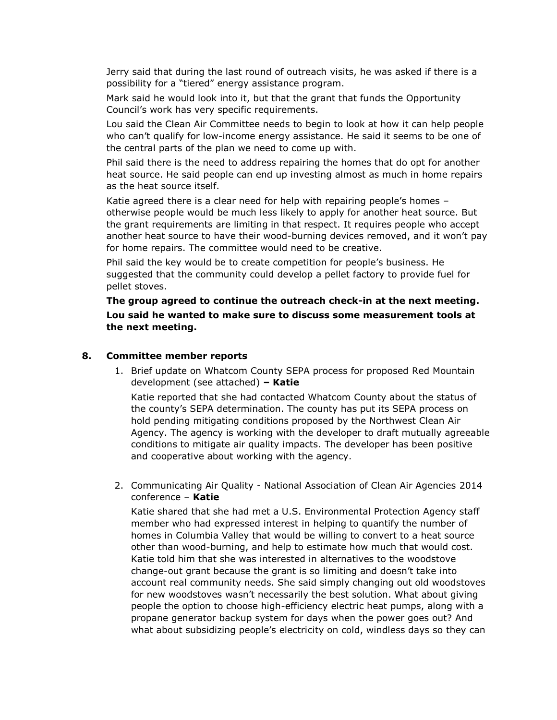Jerry said that during the last round of outreach visits, he was asked if there is a possibility for a "tiered" energy assistance program.

Mark said he would look into it, but that the grant that funds the Opportunity Council's work has very specific requirements.

Lou said the Clean Air Committee needs to begin to look at how it can help people who can't qualify for low-income energy assistance. He said it seems to be one of the central parts of the plan we need to come up with.

Phil said there is the need to address repairing the homes that do opt for another heat source. He said people can end up investing almost as much in home repairs as the heat source itself.

Katie agreed there is a clear need for help with repairing people's homes – otherwise people would be much less likely to apply for another heat source. But the grant requirements are limiting in that respect. It requires people who accept another heat source to have their wood-burning devices removed, and it won't pay for home repairs. The committee would need to be creative.

Phil said the key would be to create competition for people's business. He suggested that the community could develop a pellet factory to provide fuel for pellet stoves.

**The group agreed to continue the outreach check-in at the next meeting. Lou said he wanted to make sure to discuss some measurement tools at the next meeting.**

#### **8. Committee member reports**

1. Brief update on Whatcom County SEPA process for proposed Red Mountain development (see attached) **– Katie**

Katie reported that she had contacted Whatcom County about the status of the county's SEPA determination. The county has put its SEPA process on hold pending mitigating conditions proposed by the Northwest Clean Air Agency. The agency is working with the developer to draft mutually agreeable conditions to mitigate air quality impacts. The developer has been positive and cooperative about working with the agency.

2. Communicating Air Quality - National Association of Clean Air Agencies 2014 conference – **Katie**

Katie shared that she had met a U.S. Environmental Protection Agency staff member who had expressed interest in helping to quantify the number of homes in Columbia Valley that would be willing to convert to a heat source other than wood-burning, and help to estimate how much that would cost. Katie told him that she was interested in alternatives to the woodstove change-out grant because the grant is so limiting and doesn't take into account real community needs. She said simply changing out old woodstoves for new woodstoves wasn't necessarily the best solution. What about giving people the option to choose high-efficiency electric heat pumps, along with a propane generator backup system for days when the power goes out? And what about subsidizing people's electricity on cold, windless days so they can